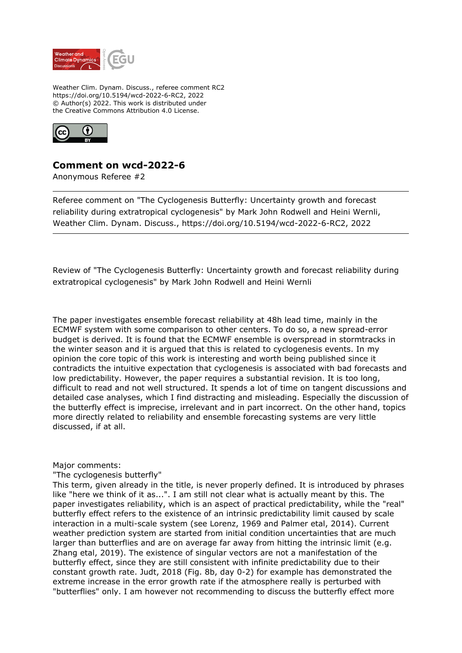

Weather Clim. Dynam. Discuss., referee comment RC2 https://doi.org/10.5194/wcd-2022-6-RC2, 2022 © Author(s) 2022. This work is distributed under the Creative Commons Attribution 4.0 License.



# **Comment on wcd-2022-6**

Anonymous Referee #2

Referee comment on "The Cyclogenesis Butterfly: Uncertainty growth and forecast reliability during extratropical cyclogenesis" by Mark John Rodwell and Heini Wernli, Weather Clim. Dynam. Discuss., https://doi.org/10.5194/wcd-2022-6-RC2, 2022

Review of "The Cyclogenesis Butterfly: Uncertainty growth and forecast reliability during extratropical cyclogenesis" by Mark John Rodwell and Heini Wernli

The paper investigates ensemble forecast reliability at 48h lead time, mainly in the ECMWF system with some comparison to other centers. To do so, a new spread-error budget is derived. It is found that the ECMWF ensemble is overspread in stormtracks in the winter season and it is argued that this is related to cyclogenesis events. In my opinion the core topic of this work is interesting and worth being published since it contradicts the intuitive expectation that cyclogenesis is associated with bad forecasts and low predictability. However, the paper requires a substantial revision. It is too long, difficult to read and not well structured. It spends a lot of time on tangent discussions and detailed case analyses, which I find distracting and misleading. Especially the discussion of the butterfly effect is imprecise, irrelevant and in part incorrect. On the other hand, topics more directly related to reliability and ensemble forecasting systems are very little discussed, if at all.

#### Major comments:

#### "The cyclogenesis butterfly"

This term, given already in the title, is never properly defined. It is introduced by phrases like "here we think of it as...". I am still not clear what is actually meant by this. The paper investigates reliability, which is an aspect of practical predictability, while the "real" butterfly effect refers to the existence of an intrinsic predictability limit caused by scale interaction in a multi-scale system (see Lorenz, 1969 and Palmer etal, 2014). Current weather prediction system are started from initial condition uncertainties that are much larger than butterflies and are on average far away from hitting the intrinsic limit (e.g. Zhang etal, 2019). The existence of singular vectors are not a manifestation of the butterfly effect, since they are still consistent with infinite predictability due to their constant growth rate. Judt, 2018 (Fig. 8b, day 0-2) for example has demonstrated the extreme increase in the error growth rate if the atmosphere really is perturbed with "butterflies" only. I am however not recommending to discuss the butterfly effect more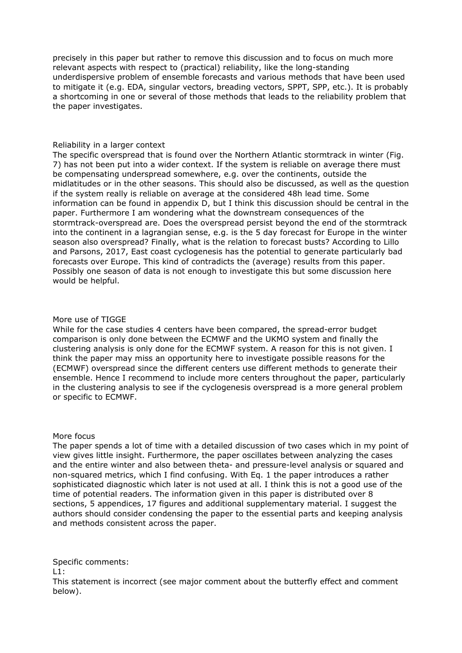precisely in this paper but rather to remove this discussion and to focus on much more relevant aspects with respect to (practical) reliability, like the long-standing underdispersive problem of ensemble forecasts and various methods that have been used to mitigate it (e.g. EDA, singular vectors, breading vectors, SPPT, SPP, etc.). It is probably a shortcoming in one or several of those methods that leads to the reliability problem that the paper investigates.

#### Reliability in a larger context

The specific overspread that is found over the Northern Atlantic stormtrack in winter (Fig. 7) has not been put into a wider context. If the system is reliable on average there must be compensating underspread somewhere, e.g. over the continents, outside the midlatitudes or in the other seasons. This should also be discussed, as well as the question if the system really is reliable on average at the considered 48h lead time. Some information can be found in appendix D, but I think this discussion should be central in the paper. Furthermore I am wondering what the downstream consequences of the stormtrack-overspread are. Does the overspread persist beyond the end of the stormtrack into the continent in a lagrangian sense, e.g. is the 5 day forecast for Europe in the winter season also overspread? Finally, what is the relation to forecast busts? According to Lillo and Parsons, 2017, East coast cyclogenesis has the potential to generate particularly bad forecasts over Europe. This kind of contradicts the (average) results from this paper. Possibly one season of data is not enough to investigate this but some discussion here would be helpful.

#### More use of TIGGE

While for the case studies 4 centers have been compared, the spread-error budget comparison is only done between the ECMWF and the UKMO system and finally the clustering analysis is only done for the ECMWF system. A reason for this is not given. I think the paper may miss an opportunity here to investigate possible reasons for the (ECMWF) overspread since the different centers use different methods to generate their ensemble. Hence I recommend to include more centers throughout the paper, particularly in the clustering analysis to see if the cyclogenesis overspread is a more general problem or specific to ECMWF.

#### More focus

The paper spends a lot of time with a detailed discussion of two cases which in my point of view gives little insight. Furthermore, the paper oscillates between analyzing the cases and the entire winter and also between theta- and pressure-level analysis or squared and non-squared metrics, which I find confusing. With Eq. 1 the paper introduces a rather sophisticated diagnostic which later is not used at all. I think this is not a good use of the time of potential readers. The information given in this paper is distributed over 8 sections, 5 appendices, 17 figures and additional supplementary material. I suggest the authors should consider condensing the paper to the essential parts and keeping analysis and methods consistent across the paper.

Specific comments:

 $L1$ :

This statement is incorrect (see major comment about the butterfly effect and comment below).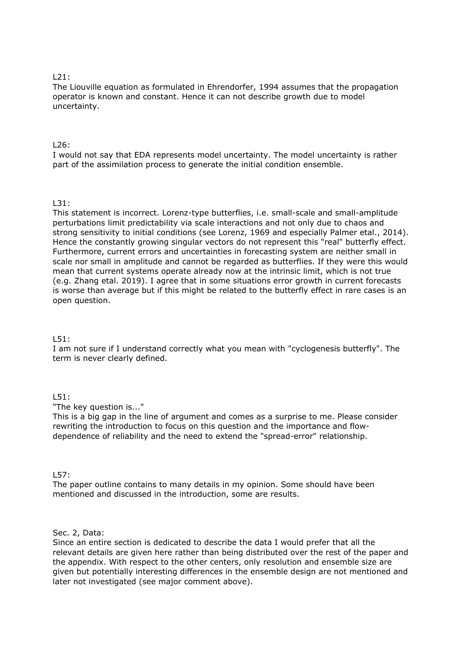#### $121$

The Liouville equation as formulated in Ehrendorfer, 1994 assumes that the propagation operator is known and constant. Hence it can not describe growth due to model uncertainty.

## $126$

I would not say that EDA represents model uncertainty. The model uncertainty is rather part of the assimilation process to generate the initial condition ensemble.

## $131$

This statement is incorrect. Lorenz-type butterflies, i.e. small-scale and small-amplitude perturbations limit predictability via scale interactions and not only due to chaos and strong sensitivity to initial conditions (see Lorenz, 1969 and especially Palmer etal., 2014). Hence the constantly growing singular vectors do not represent this "real" butterfly effect. Furthermore, current errors and uncertainties in forecasting system are neither small in scale nor small in amplitude and cannot be regarded as butterflies. If they were this would mean that current systems operate already now at the intrinsic limit, which is not true (e.g. Zhang etal. 2019). I agree that in some situations error growth in current forecasts is worse than average but if this might be related to the butterfly effect in rare cases is an open question.

#### L51:

I am not sure if I understand correctly what you mean with "cyclogenesis butterfly". The term is never clearly defined.

## L51:

"The key question is..."

This is a big gap in the line of argument and comes as a surprise to me. Please consider rewriting the introduction to focus on this question and the importance and flowdependence of reliability and the need to extend the "spread-error" relationship.

#### L57:

The paper outline contains to many details in my opinion. Some should have been mentioned and discussed in the introduction, some are results.

#### Sec. 2, Data:

Since an entire section is dedicated to describe the data I would prefer that all the relevant details are given here rather than being distributed over the rest of the paper and the appendix. With respect to the other centers, only resolution and ensemble size are given but potentially interesting differences in the ensemble design are not mentioned and later not investigated (see major comment above).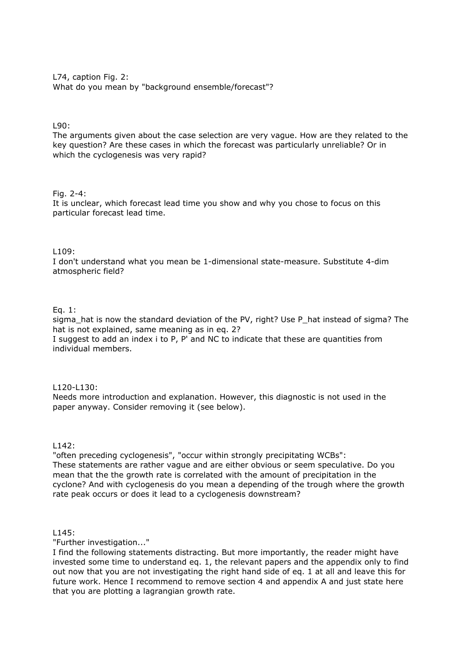L74, caption Fig. 2: What do you mean by "background ensemble/forecast"?

#### L90:

The arguments given about the case selection are very vague. How are they related to the key question? Are these cases in which the forecast was particularly unreliable? Or in which the cyclogenesis was very rapid?

#### Fig. 2-4:

It is unclear, which forecast lead time you show and why you chose to focus on this particular forecast lead time.

#### $1109:$

I don't understand what you mean be 1-dimensional state-measure. Substitute 4-dim atmospheric field?

#### Eq. 1:

sigma hat is now the standard deviation of the PV, right? Use P\_hat instead of sigma? The hat is not explained, same meaning as in eq. 2? I suggest to add an index i to P, P' and NC to indicate that these are quantities from individual members.

#### L120-L130:

Needs more introduction and explanation. However, this diagnostic is not used in the paper anyway. Consider removing it (see below).

#### L142:

"often preceding cyclogenesis", "occur within strongly precipitating WCBs": These statements are rather vague and are either obvious or seem speculative. Do you mean that the the growth rate is correlated with the amount of precipitation in the cyclone? And with cyclogenesis do you mean a depending of the trough where the growth rate peak occurs or does it lead to a cyclogenesis downstream?

## L145:

"Further investigation..."

I find the following statements distracting. But more importantly, the reader might have invested some time to understand eq. 1, the relevant papers and the appendix only to find out now that you are not investigating the right hand side of eq. 1 at all and leave this for future work. Hence I recommend to remove section 4 and appendix A and just state here that you are plotting a lagrangian growth rate.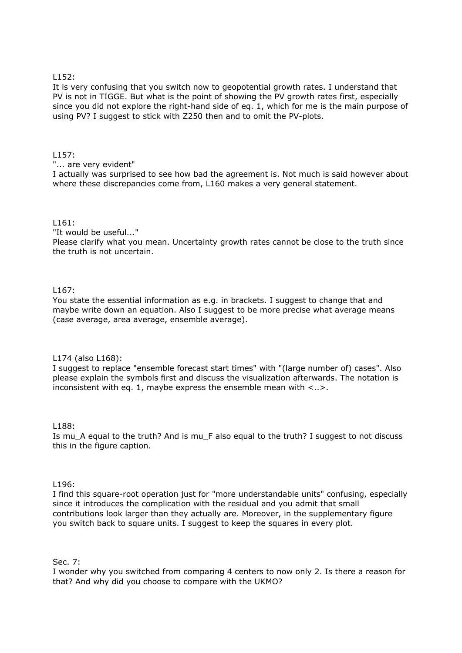#### L152:

It is very confusing that you switch now to geopotential growth rates. I understand that PV is not in TIGGE. But what is the point of showing the PV growth rates first, especially since you did not explore the right-hand side of eq. 1, which for me is the main purpose of using PV? I suggest to stick with Z250 then and to omit the PV-plots.

#### $1157:$

"... are very evident"

I actually was surprised to see how bad the agreement is. Not much is said however about where these discrepancies come from, L160 makes a very general statement.

#### L161:

"It would be useful..."

Please clarify what you mean. Uncertainty growth rates cannot be close to the truth since the truth is not uncertain.

## L167:

You state the essential information as e.g. in brackets. I suggest to change that and maybe write down an equation. Also I suggest to be more precise what average means (case average, area average, ensemble average).

#### L174 (also L168):

I suggest to replace "ensemble forecast start times" with "(large number of) cases". Also please explain the symbols first and discuss the visualization afterwards. The notation is inconsistent with eq. 1, maybe express the ensemble mean with  $\langle . \rangle$ .

#### L188:

Is mu\_A equal to the truth? And is mu\_F also equal to the truth? I suggest to not discuss this in the figure caption.

#### $1196:$

I find this square-root operation just for "more understandable units" confusing, especially since it introduces the complication with the residual and you admit that small contributions look larger than they actually are. Moreover, in the supplementary figure you switch back to square units. I suggest to keep the squares in every plot.

Sec. 7:

I wonder why you switched from comparing 4 centers to now only 2. Is there a reason for that? And why did you choose to compare with the UKMO?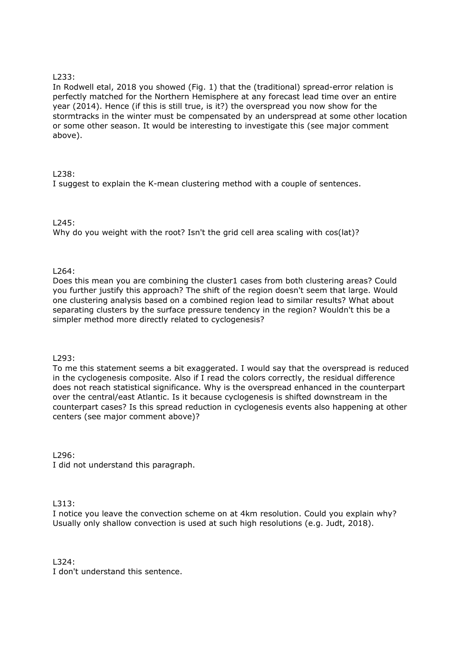## L233:

In Rodwell etal, 2018 you showed (Fig. 1) that the (traditional) spread-error relation is perfectly matched for the Northern Hemisphere at any forecast lead time over an entire year (2014). Hence (if this is still true, is it?) the overspread you now show for the stormtracks in the winter must be compensated by an underspread at some other location or some other season. It would be interesting to investigate this (see major comment above).

## L238:

I suggest to explain the K-mean clustering method with a couple of sentences.

## $1245:$

Why do you weight with the root? Isn't the grid cell area scaling with cos(lat)?

## L264:

Does this mean you are combining the cluster1 cases from both clustering areas? Could you further justify this approach? The shift of the region doesn't seem that large. Would one clustering analysis based on a combined region lead to similar results? What about separating clusters by the surface pressure tendency in the region? Wouldn't this be a simpler method more directly related to cyclogenesis?

#### L293:

To me this statement seems a bit exaggerated. I would say that the overspread is reduced in the cyclogenesis composite. Also if I read the colors correctly, the residual difference does not reach statistical significance. Why is the overspread enhanced in the counterpart over the central/east Atlantic. Is it because cyclogenesis is shifted downstream in the counterpart cases? Is this spread reduction in cyclogenesis events also happening at other centers (see major comment above)?

L296:

I did not understand this paragraph.

 $1313.$ 

I notice you leave the convection scheme on at 4km resolution. Could you explain why? Usually only shallow convection is used at such high resolutions (e.g. Judt, 2018).

 $1324.$ I don't understand this sentence.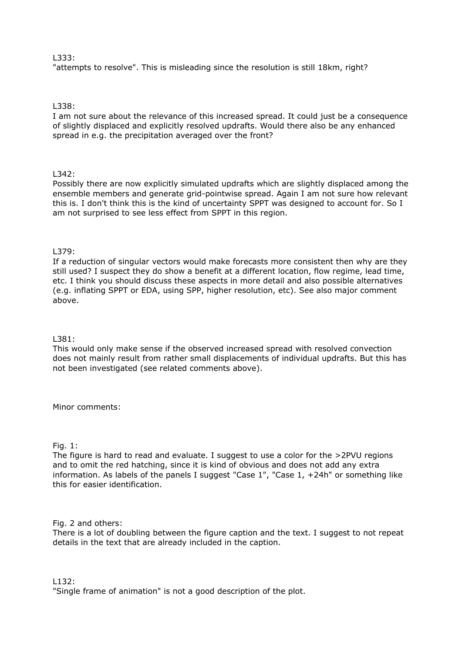### L333:

"attempts to resolve". This is misleading since the resolution is still 18km, right?

#### L338:

I am not sure about the relevance of this increased spread. It could just be a consequence of slightly displaced and explicitly resolved updrafts. Would there also be any enhanced spread in e.g. the precipitation averaged over the front?

#### L342:

Possibly there are now explicitly simulated updrafts which are slightly displaced among the ensemble members and generate grid-pointwise spread. Again I am not sure how relevant this is. I don't think this is the kind of uncertainty SPPT was designed to account for. So I am not surprised to see less effect from SPPT in this region.

## L379:

If a reduction of singular vectors would make forecasts more consistent then why are they still used? I suspect they do show a benefit at a different location, flow regime, lead time, etc. I think you should discuss these aspects in more detail and also possible alternatives (e.g. inflating SPPT or EDA, using SPP, higher resolution, etc). See also major comment above.

#### L381:

This would only make sense if the observed increased spread with resolved convection does not mainly result from rather small displacements of individual updrafts. But this has not been investigated (see related comments above).

Minor comments:

#### Fig. 1:

The figure is hard to read and evaluate. I suggest to use a color for the >2PVU regions and to omit the red hatching, since it is kind of obvious and does not add any extra information. As labels of the panels I suggest "Case 1", "Case 1, +24h" or something like this for easier identification.

Fig. 2 and others:

There is a lot of doubling between the figure caption and the text. I suggest to not repeat details in the text that are already included in the caption.

L132:

"Single frame of animation" is not a good description of the plot.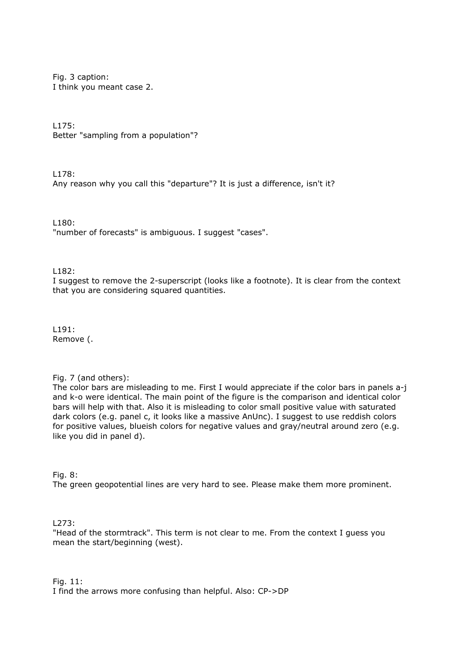Fig. 3 caption: I think you meant case 2.

L175:

Better "sampling from a population"?

L178:

Any reason why you call this "departure"? It is just a difference, isn't it?

L180:

"number of forecasts" is ambiguous. I suggest "cases".

L182:

I suggest to remove the 2-superscript (looks like a footnote). It is clear from the context that you are considering squared quantities.

L191: Remove (.

Fig. 7 (and others):

The color bars are misleading to me. First I would appreciate if the color bars in panels a-j and k-o were identical. The main point of the figure is the comparison and identical color bars will help with that. Also it is misleading to color small positive value with saturated dark colors (e.g. panel c, it looks like a massive AnUnc). I suggest to use reddish colors for positive values, blueish colors for negative values and gray/neutral around zero (e.g. like you did in panel d).

Fig. 8:

The green geopotential lines are very hard to see. Please make them more prominent.

L273:

"Head of the stormtrack". This term is not clear to me. From the context I guess you mean the start/beginning (west).